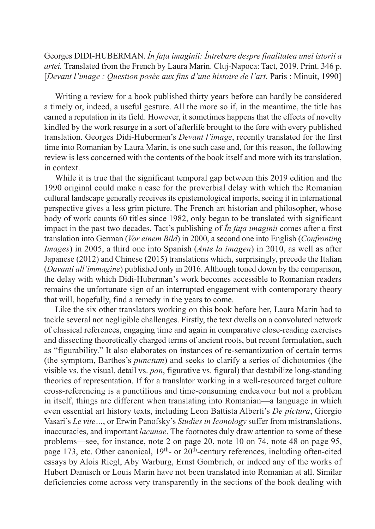Georges DIDI‑HUBERMAN. *În fața imaginii: Întrebare despre finalitatea unei istorii a artei.* Translated from the French by Laura Marin. Cluj‑Napoca: Tact, 2019. Print. 346 p. [*Devant l'image : Question posée aux fins d'une histoire de l'art*. Paris : Minuit, 1990]

Writing a review for a book published thirty years before can hardly be considered a timely or, indeed, a useful gesture. All the more so if, in the meantime, the title has earned a reputation in its field. However, it sometimes happens that the effects of novelty kindled by the work resurge in a sort of afterlife brought to the fore with every published translation. Georges Didi‑Huberman's *Devant l'image*, recently translated for the first time into Romanian by Laura Marin, is one such case and, for this reason, the following review is less concerned with the contents of the book itself and more with its translation, in context.

While it is true that the significant temporal gap between this 2019 edition and the 1990 original could make a case for the proverbial delay with which the Romanian cultural landscape generally receives its epistemological imports, seeing it in international perspective gives a less grim picture. The French art historian and philosopher, whose body of work counts 60 titles since 1982, only began to be translated with significant impact in the past two decades. Tact's publishing of *În fața imaginii* comes after a first translation into German (*Vor einem Bild*) in 2000, a second one into English (*Confronting Images*) in 2005, a third one into Spanish (*Ante la imagen*) in 2010, as well as after Japanese (2012) and Chinese (2015) translations which, surprisingly, precede the Italian (*Davanti all'immagine*) published only in 2016. Although toned down by the comparison, the delay with which Didi-Huberman's work becomes accessible to Romanian readers remains the unfortunate sign of an interrupted engagement with contemporary theory that will, hopefully, find a remedy in the years to come.

Like the six other translators working on this book before her, Laura Marin had to tackle several not negligible challenges. Firstly, the text dwells on a convoluted network of classical references, engaging time and again in comparative close‑reading exercises and dissecting theoretically charged terms of ancient roots, but recent formulation, such as "figurability." It also elaborates on instances of re‑semantization of certain terms (the symptom, Barthes's *punctum*) and seeks to clarify a series of dichotomies (the visible vs. the visual, detail vs. *pan*, figurative vs. figural) that destabilize long‑standing theories of representation. If for a translator working in a well‑resourced target culture cross‑referencing is a punctilious and time‑consuming endeavour but not a problem in itself, things are different when translating into Romanian—a language in which even essential art history texts, including Leon Battista Alberti's *De pictura*, Giorgio Vasari's *Le vite…*, or Erwin Panofsky's *Studies in Iconology* suffer from mistranslations, inaccuracies, and important *lacunae*. The footnotes duly draw attention to some of these problems—see, for instance, note 2 on page 20, note 10 on 74, note 48 on page 95, page 173, etc. Other canonical, 19<sup>th</sup>- or 20<sup>th</sup>-century references, including often-cited essays by Alois Riegl, Aby Warburg, Ernst Gombrich, or indeed any of the works of Hubert Damisch or Louis Marin have not been translated into Romanian at all. Similar deficiencies come across very transparently in the sections of the book dealing with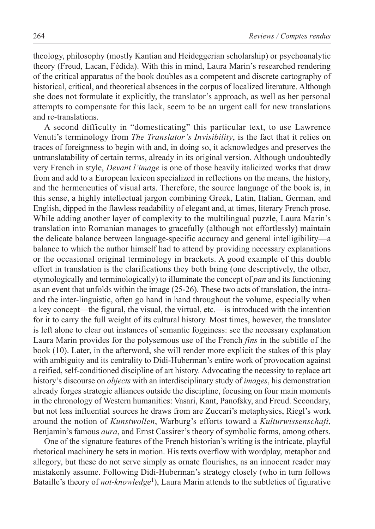theology, philosophy (mostly Kantian and Heideggerian scholarship) or psychoanalytic theory (Freud, Lacan, Fédida). With this in mind, Laura Marin's researched rendering of the critical apparatus of the book doubles as a competent and discrete cartography of historical, critical, and theoretical absences in the corpus of localized literature. Although she does not formulate it explicitly, the translator's approach, as well as her personal attempts to compensate for this lack, seem to be an urgent call for new translations and re‑translations.

A second difficulty in "domesticating" this particular text, to use Lawrence Venuti's terminology from *The Translator's Invisibility*, is the fact that it relies on traces of foreignness to begin with and, in doing so, it acknowledges and preserves the untranslatability of certain terms, already in its original version. Although undoubtedly very French in style, *Devant l'image* is one of those heavily italicized works that draw from and add to a European lexicon specialized in reflections on the means, the history, and the hermeneutics of visual arts. Therefore, the source language of the book is, in this sense, a highly intellectual jargon combining Greek, Latin, Italian, German, and English, dipped in the flawless readability of elegant and, at times, literary French prose. While adding another layer of complexity to the multilingual puzzle, Laura Marin's translation into Romanian manages to gracefully (although not effortlessly) maintain the delicate balance between language‑specific accuracy and general intelligibility—a balance to which the author himself had to attend by providing necessary explanations or the occasional original terminology in brackets. A good example of this double effort in translation is the clarifications they both bring (one descriptively, the other, etymologically and terminologically) to illuminate the concept of *pan* and its functioning as an event that unfolds within the image (25-26). These two acts of translation, the intraand the inter‑linguistic, often go hand in hand throughout the volume, especially when a key concept—the figural, the visual, the virtual, etc.—is introduced with the intention for it to carry the full weight of its cultural history. Most times, however, the translator is left alone to clear out instances of semantic fogginess: see the necessary explanation Laura Marin provides for the polysemous use of the French *fins* in the subtitle of the book (10). Later, in the afterword, she will render more explicit the stakes of this play with ambiguity and its centrality to Didi-Huberman's entire work of provocation against a reified, self‑conditioned discipline of art history. Advocating the necessity to replace art history's discourse on *objects* with an interdisciplinary study of *images*, his demonstration already forges strategic alliances outside the discipline, focusing on four main moments in the chronology of Western humanities: Vasari, Kant, Panofsky, and Freud. Secondary, but not less influential sources he draws from are Zuccari's metaphysics, Riegl's work around the notion of *Kunstwollen*, Warburg's efforts toward a *Kulturwissenschaft*, Benjamin's famous *aura*, and Ernst Cassirer's theory of symbolic forms, among others.

One of the signature features of the French historian's writing is the intricate, playful rhetorical machinery he sets in motion. His texts overflow with wordplay, metaphor and allegory, but these do not serve simply as ornate flourishes, as an innocent reader may mistakenly assume. Following Didi‑Huberman's strategy closely (who in turn follows Bataille's theory of *not-knowledge*<sup>1</sup>), Laura Marin attends to the subtleties of figurative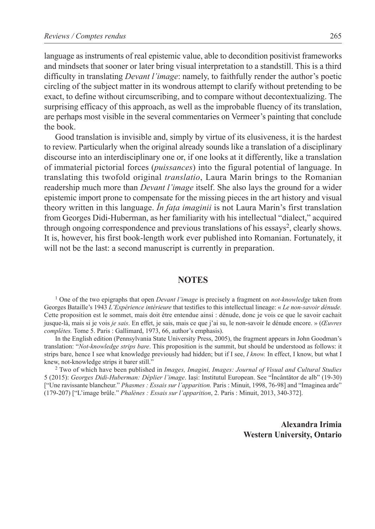language as instruments of real epistemic value, able to decondition positivist frameworks and mindsets that sooner or later bring visual interpretation to a standstill. This is a third difficulty in translating *Devant l'image*: namely, to faithfully render the author's poetic circling of the subject matter in its wondrous attempt to clarify without pretending to be exact, to define without circumscribing, and to compare without decontextualizing. The surprising efficacy of this approach, as well as the improbable fluency of its translation, are perhaps most visible in the several commentaries on Vermeer's painting that conclude the book.

Good translation is invisible and, simply by virtue of its elusiveness, it is the hardest to review. Particularly when the original already sounds like a translation of a disciplinary discourse into an interdisciplinary one or, if one looks at it differently, like a translation of immaterial pictorial forces (*puissances*) into the figural potential of language. In translating this twofold original *translatio*, Laura Marin brings to the Romanian readership much more than *Devant l'image* itself. She also lays the ground for a wider epistemic import prone to compensate for the missing pieces in the art history and visual theory written in this language. *În fața imaginii* is not Laura Marin's first translation from Georges Didi-Huberman, as her familiarity with his intellectual "dialect," acquired through ongoing correspondence and previous translations of his essays<sup>2</sup>, clearly shows. It is, however, his first book-length work ever published into Romanian. Fortunately, it will not be the last: a second manuscript is currently in preparation.

## **NOTES**

1 One of the two epigraphs that open *Devant l'image* is precisely a fragment on *not-knowledge* taken from Georges Bataille's 1943 *L'Expérience intérieure* that testifies to this intellectual lineage: « *Le non-savoir dénude.* Cette proposition est le sommet, mais doit être entendue ainsi : dénude, donc je vois ce que le savoir cachait jusque-là, mais si je vois *je sais*. En effet, je sais, mais ce que j'ai su, le non-savoir le dénude encore. » (*Œuvres complètes.* Tome 5. Paris : Gallimard, 1973, 66, author's emphasis).

In the English edition (Pennsylvania State University Press, 2005), the fragment appears in John Goodman's translation: "*Not-knowledge strips bare*. This proposition is the summit, but should be understood as follows: it strips bare, hence I see what knowledge previously had hidden; but if I see, *I know.* In effect, I know, but what I knew, not-knowledge strips it barer still."

2 Two of which have been published in *Images, Imagini, Images: Journal of Visual and Cultural Studies* 5 (2015): *Georges Didi-Huberman: Déplier l'image*. Iași: Institutul European. See "Încântător de alb" (19-30) ["Une ravissante blancheur." *Phasmes : Essais sur l'apparition.* Paris : Minuit, 1998, 76-98] and "Imaginea arde" (179‑207) ["L'image brûle." *Phalènes : Essais sur l'apparition*, 2. Paris : Minuit, 2013, 340-372].

> **Alexandra Irimia Western University, Ontario**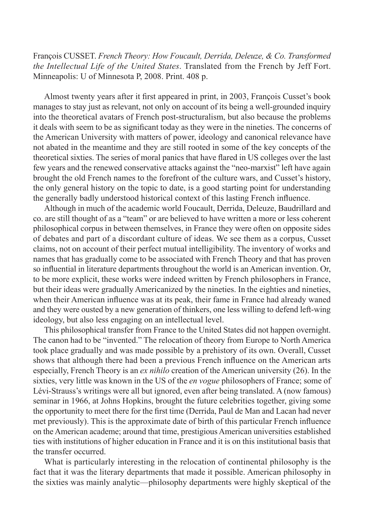François CUSSET. *French Theory: How Foucault, Derrida, Deleuze, & Co. Transformed the Intellectual Life of the United States*. Translated from the French by Jeff Fort. Minneapolis: U of Minnesota P, 2008. Print. 408 p.

Almost twenty years after it first appeared in print, in 2003, François Cusset's book manages to stay just as relevant, not only on account of its being a well-grounded inquiry into the theoretical avatars of French post‑structuralism, but also because the problems it deals with seem to be as significant today as they were in the nineties. The concerns of the American University with matters of power, ideology and canonical relevance have not abated in the meantime and they are still rooted in some of the key concepts of the theoretical sixties. The series of moral panics that have flared in US colleges over the last few years and the renewed conservative attacks against the "neo‑marxist" left have again brought the old French names to the forefront of the culture wars, and Cusset's history, the only general history on the topic to date, is a good starting point for understanding the generally badly understood historical context of this lasting French influence.

Although in much of the academic world Foucault, Derrida, Deleuze, Baudrillard and co. are still thought of as a "team" or are believed to have written a more or less coherent philosophical corpus in between themselves, in France they were often on opposite sides of debates and part of a discordant culture of ideas. We see them as a corpus, Cusset claims, not on account of their perfect mutual intelligibility. The inventory of works and names that has gradually come to be associated with French Theory and that has proven so influential in literature departments throughout the world is an American invention. Or, to be more explicit, these works were indeed written by French philosophers in France, but their ideas were gradually Americanized by the nineties. In the eighties and nineties, when their American influence was at its peak, their fame in France had already waned and they were ousted by a new generation of thinkers, one less willing to defend left-wing ideology, but also less engaging on an intellectual level.

This philosophical transfer from France to the United States did not happen overnight. The canon had to be "invented." The relocation of theory from Europe to North America took place gradually and was made possible by a prehistory of its own. Overall, Cusset shows that although there had been a previous French influence on the American arts especially, French Theory is an *ex nihilo* creation of the American university (26). In the sixties, very little was known in the US of the *en vogue* philosophers of France; some of Lévi-Strauss's writings were all but ignored, even after being translated. A (now famous) seminar in 1966, at Johns Hopkins, brought the future celebrities together, giving some the opportunity to meet there for the first time (Derrida, Paul de Man and Lacan had never met previously). This is the approximate date of birth of this particular French influence on the American academe; around that time, prestigious American universities established ties with institutions of higher education in France and it is on this institutional basis that the transfer occurred.

What is particularly interesting in the relocation of continental philosophy is the fact that it was the literary departments that made it possible. American philosophy in the sixties was mainly analytic—philosophy departments were highly skeptical of the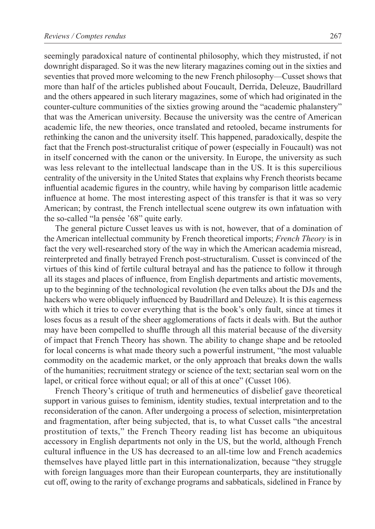seemingly paradoxical nature of continental philosophy, which they mistrusted, if not downright disparaged. So it was the new literary magazines coming out in the sixties and seventies that proved more welcoming to the new French philosophy—Cusset shows that more than half of the articles published about Foucault, Derrida, Deleuze, Baudrillard and the others appeared in such literary magazines, some of which had originated in the counter‑culture communities of the sixties growing around the "academic phalanstery" that was the American university. Because the university was the centre of American academic life, the new theories, once translated and retooled, became instruments for rethinking the canon and the university itself. This happened, paradoxically, despite the fact that the French post‑structuralist critique of power (especially in Foucault) was not in itself concerned with the canon or the university. In Europe, the university as such was less relevant to the intellectual landscape than in the US. It is this supercilious centrality of the university in the United States that explains why French theorists became influential academic figures in the country, while having by comparison little academic influence at home. The most interesting aspect of this transfer is that it was so very American; by contrast, the French intellectual scene outgrew its own infatuation with the so-called "la pensée '68" quite early.

The general picture Cusset leaves us with is not, however, that of a domination of the American intellectual community by French theoretical imports; *French Theory* is in fact the very well-researched story of the way in which the American academia misread, reinterpreted and finally betrayed French post‑structuralism. Cusset is convinced of the virtues of this kind of fertile cultural betrayal and has the patience to follow it through all its stages and places of influence, from English departments and artistic movements, up to the beginning of the technological revolution (he even talks about the DJs and the hackers who were obliquely influenced by Baudrillard and Deleuze). It is this eagerness with which it tries to cover everything that is the book's only fault, since at times it loses focus as a result of the sheer agglomerations of facts it deals with. But the author may have been compelled to shuffle through all this material because of the diversity of impact that French Theory has shown. The ability to change shape and be retooled for local concerns is what made theory such a powerful instrument, "the most valuable commodity on the academic market, or the only approach that breaks down the walls of the humanities; recruitment strategy or science of the text; sectarian seal worn on the lapel, or critical force without equal; or all of this at once" (Cusset 106).

French Theory's critique of truth and hermeneutics of disbelief gave theoretical support in various guises to feminism, identity studies, textual interpretation and to the reconsideration of the canon. After undergoing a process of selection, misinterpretation and fragmentation, after being subjected, that is, to what Cusset calls "the ancestral prostitution of texts," the French Theory reading list has become an ubiquitous accessory in English departments not only in the US, but the world, although French cultural influence in the US has decreased to an all-time low and French academics themselves have played little part in this internationalization, because "they struggle with foreign languages more than their European counterparts, they are institutionally cut off, owing to the rarity of exchange programs and sabbaticals, sidelined in France by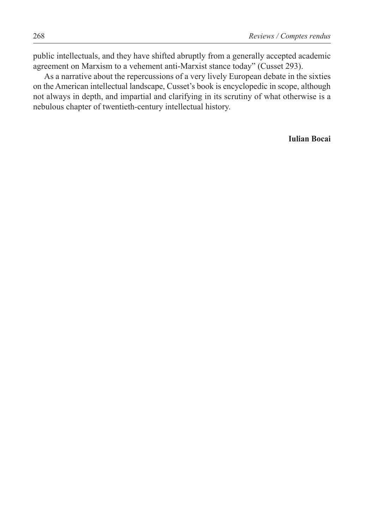public intellectuals, and they have shifted abruptly from a generally accepted academic agreement on Marxism to a vehement anti‑Marxist stance today" (Cusset 293).

As a narrative about the repercussions of a very lively European debate in the sixties on the American intellectual landscape, Cusset's book is encyclopedic in scope, although not always in depth, and impartial and clarifying in its scrutiny of what otherwise is a nebulous chapter of twentieth-century intellectual history.

**Iulian Bocai**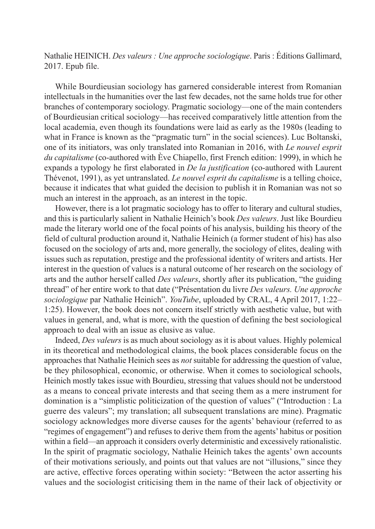Nathalie HEINICH. *Des valeurs : Une approche sociologique*. Paris : Éditions Gallimard, 2017. Epub file.

While Bourdieusian sociology has garnered considerable interest from Romanian intellectuals in the humanities over the last few decades, not the same holds true for other branches of contemporary sociology. Pragmatic sociology—one of the main contenders of Bourdieusian critical sociology—has received comparatively little attention from the local academia, even though its foundations were laid as early as the 1980s (leading to what in France is known as the "pragmatic turn" in the social sciences). Luc Boltanski, one of its initiators, was only translated into Romanian in 2016, with *Le nouvel esprit du capitalisme* (co-authored with Ève Chiapello, first French edition: 1999), in which he expands a typology he first elaborated in *De la justification* (co-authored with Laurent Thévenot, 1991), as yet untranslated. *Le nouvel esprit du capitalisme* is a telling choice, because it indicates that what guided the decision to publish it in Romanian was not so much an interest in the approach, as an interest in the topic.

However, there is a lot pragmatic sociology has to offer to literary and cultural studies, and this is particularly salient in Nathalie Heinich's book *Des valeurs*. Just like Bourdieu made the literary world one of the focal points of his analysis, building his theory of the field of cultural production around it, Nathalie Heinich (a former student of his) has also focused on the sociology of arts and, more generally, the sociology of elites, dealing with issues such as reputation, prestige and the professional identity of writers and artists. Her interest in the question of values is a natural outcome of her research on the sociology of arts and the author herself called *Des valeurs*, shortly after its publication, "the guiding thread" of her entire work to that date ("Présentation du livre *Des valeurs. Une approche sociologique* par Nathalie Heinich". *YouTube*, uploaded by CRAL, 4 April 2017, 1:22– 1:25). However, the book does not concern itself strictly with aesthetic value, but with values in general, and, what is more, with the question of defining the best sociological approach to deal with an issue as elusive as value.

Indeed, *Des valeurs* is as much about sociology as it is about values. Highly polemical in its theoretical and methodological claims, the book places considerable focus on the approaches that Nathalie Heinich sees as *not* suitable for addressing the question of value, be they philosophical, economic, or otherwise. When it comes to sociological schools, Heinich mostly takes issue with Bourdieu, stressing that values should not be understood as a means to conceal private interests and that seeing them as a mere instrument for domination is a "simplistic politicization of the question of values" ("Introduction : La guerre des valeurs"; my translation; all subsequent translations are mine). Pragmatic sociology acknowledges more diverse causes for the agents' behaviour (referred to as "regimes of engagement") and refuses to derive them from the agents' habitus or position within a field—an approach it considers overly deterministic and excessively rationalistic. In the spirit of pragmatic sociology, Nathalie Heinich takes the agents' own accounts of their motivations seriously, and points out that values are not "illusions," since they are active, effective forces operating within society: "Between the actor asserting his values and the sociologist criticising them in the name of their lack of objectivity or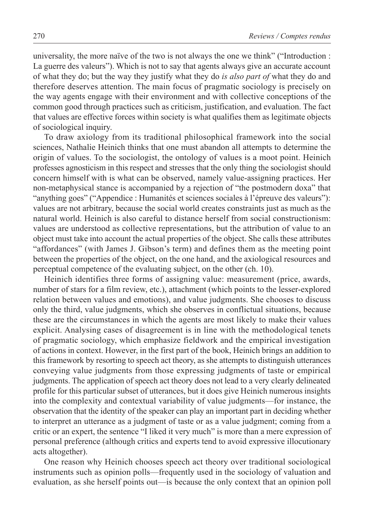universality, the more naïve of the two is not always the one we think" ("Introduction : La guerre des valeurs"). Which is not to say that agents always give an accurate account of what they do; but the way they justify what they do *is also part of* what they do and therefore deserves attention. The main focus of pragmatic sociology is precisely on the way agents engage with their environment and with collective conceptions of the common good through practices such as criticism, justification, and evaluation. The fact that values are effective forces within society is what qualifies them as legitimate objects of sociological inquiry.

To draw axiology from its traditional philosophical framework into the social sciences, Nathalie Heinich thinks that one must abandon all attempts to determine the origin of values. To the sociologist, the ontology of values is a moot point. Heinich professes agnosticism in this respect and stresses that the only thing the sociologist should concern himself with is what can be observed, namely value‑assigning practices. Her non‑metaphysical stance is accompanied by a rejection of "the postmodern doxa" that "anything goes" ("Appendice : Humanités et sciences sociales à l'épreuve des valeurs"): values are not arbitrary, because the social world creates constraints just as much as the natural world. Heinich is also careful to distance herself from social constructionism: values are understood as collective representations, but the attribution of value to an object must take into account the actual properties of the object. She calls these attributes "affordances" (with James J. Gibson's term) and defines them as the meeting point between the properties of the object, on the one hand, and the axiological resources and perceptual competence of the evaluating subject, on the other (ch. 10).

Heinich identifies three forms of assigning value: measurement (price, awards, number of stars for a film review, etc.), attachment (which points to the lesser-explored relation between values and emotions), and value judgments. She chooses to discuss only the third, value judgments, which she observes in conflictual situations, because these are the circumstances in which the agents are most likely to make their values explicit. Analysing cases of disagreement is in line with the methodological tenets of pragmatic sociology, which emphasize fieldwork and the empirical investigation of actions in context. However, in the first part of the book, Heinich brings an addition to this framework by resorting to speech act theory, as she attempts to distinguish utterances conveying value judgments from those expressing judgments of taste or empirical judgments. The application of speech act theory does not lead to a very clearly delineated profile for this particular subset of utterances, but it does give Heinich numerous insights into the complexity and contextual variability of value judgments—for instance, the observation that the identity of the speaker can play an important part in deciding whether to interpret an utterance as a judgment of taste or as a value judgment; coming from a critic or an expert, the sentence "I liked it very much" is more than a mere expression of personal preference (although critics and experts tend to avoid expressive illocutionary acts altogether).

One reason why Heinich chooses speech act theory over traditional sociological instruments such as opinion polls—frequently used in the sociology of valuation and evaluation, as she herself points out—is because the only context that an opinion poll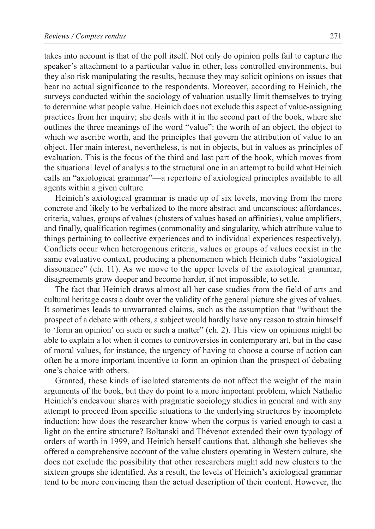takes into account is that of the poll itself. Not only do opinion polls fail to capture the speaker's attachment to a particular value in other, less controlled environments, but they also risk manipulating the results, because they may solicit opinions on issues that bear no actual significance to the respondents. Moreover, according to Heinich, the surveys conducted within the sociology of valuation usually limit themselves to trying to determine what people value. Heinich does not exclude this aspect of value‑assigning practices from her inquiry; she deals with it in the second part of the book, where she outlines the three meanings of the word "value": the worth of an object, the object to which we ascribe worth, and the principles that govern the attribution of value to an object. Her main interest, nevertheless, is not in objects, but in values as principles of evaluation. This is the focus of the third and last part of the book, which moves from the situational level of analysis to the structural one in an attempt to build what Heinich calls an "axiological grammar"—a repertoire of axiological principles available to all agents within a given culture.

Heinich's axiological grammar is made up of six levels, moving from the more concrete and likely to be verbalized to the more abstract and unconscious: affordances, criteria, values, groups of values (clusters of values based on affinities), value amplifiers, and finally, qualification regimes (commonality and singularity, which attribute value to things pertaining to collective experiences and to individual experiences respectively). Conflicts occur when heterogenous criteria, values or groups of values coexist in the same evaluative context, producing a phenomenon which Heinich dubs "axiological dissonance" (ch. 11). As we move to the upper levels of the axiological grammar, disagreements grow deeper and become harder, if not impossible, to settle.

The fact that Heinich draws almost all her case studies from the field of arts and cultural heritage casts a doubt over the validity of the general picture she gives of values. It sometimes leads to unwarranted claims, such as the assumption that "without the prospect of a debate with others, a subject would hardly have any reason to strain himself to 'form an opinion' on such or such a matter" (ch. 2). This view on opinions might be able to explain a lot when it comes to controversies in contemporary art, but in the case of moral values, for instance, the urgency of having to choose a course of action can often be a more important incentive to form an opinion than the prospect of debating one's choice with others.

Granted, these kinds of isolated statements do not affect the weight of the main arguments of the book, but they do point to a more important problem, which Nathalie Heinich's endeavour shares with pragmatic sociology studies in general and with any attempt to proceed from specific situations to the underlying structures by incomplete induction: how does the researcher know when the corpus is varied enough to cast a light on the entire structure? Boltanski and Thévenot extended their own typology of orders of worth in 1999, and Heinich herself cautions that, although she believes she offered a comprehensive account of the value clusters operating in Western culture, she does not exclude the possibility that other researchers might add new clusters to the sixteen groups she identified. As a result, the levels of Heinich's axiological grammar tend to be more convincing than the actual description of their content. However, the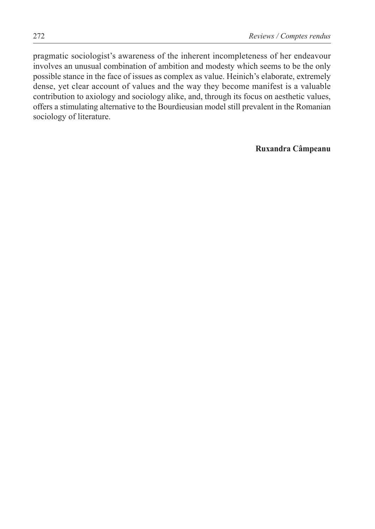pragmatic sociologist's awareness of the inherent incompleteness of her endeavour involves an unusual combination of ambition and modesty which seems to be the only possible stance in the face of issues as complex as value. Heinich's elaborate, extremely dense, yet clear account of values and the way they become manifest is a valuable contribution to axiology and sociology alike, and, through its focus on aesthetic values, offers a stimulating alternative to the Bourdieusian model still prevalent in the Romanian sociology of literature.

**Ruxandra Câmpeanu**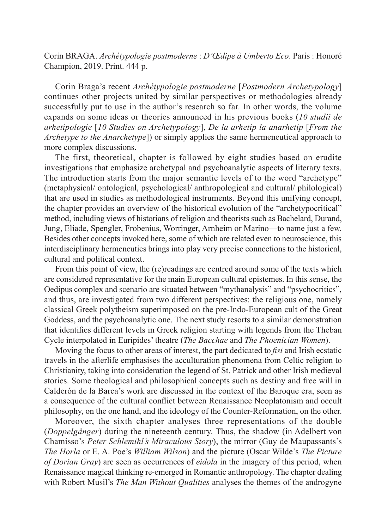Corin BRAGA. *Archétypologie postmoderne* : *D'Œdipe à Umberto Eco*. Paris : Honoré Champion, 2019. Print. 444 p.

Corin Braga's recent *Archétypologie postmoderne* [*Postmodern Archetypology*] continues other projects united by similar perspectives or methodologies already successfully put to use in the author's research so far. In other words, the volume expands on some ideas or theories announced in his previous books (*10 studii de arhetipologie* [*10 Studies on Archetypology*], *De la arhetip la anarhetip* [*From the Archetype to the Anarchetype*]) or simply applies the same hermeneutical approach to more complex discussions.

The first, theoretical, chapter is followed by eight studies based on erudite investigations that emphasize archetypal and psychoanalytic aspects of literary texts. The introduction starts from the major semantic levels of to the word "archetype" (metaphysical/ ontological, psychological/ anthropological and cultural/ philological) that are used in studies as methodological instruments. Beyond this unifying concept, the chapter provides an overview of the historical evolution of the "archetypocritical" method, including views of historians of religion and theorists such as Bachelard, Durand, Jung, Eliade, Spengler, Frobenius, Worringer, Arnheim or Marino—to name just a few. Besides other concepts invoked here, some of which are related even to neuroscience, this interdisciplinary hermeneutics brings into play very precise connections to the historical, cultural and political context.

From this point of view, the (re)readings are centred around some of the texts which are considered representative for the main European cultural epistemes. In this sense, the Oedipus complex and scenario are situated between "mythanalysis" and "psychocritics", and thus, are investigated from two different perspectives: the religious one, namely classical Greek polytheism superimposed on the pre‑Indo‑European cult of the Great Goddess, and the psychoanalytic one. The next study resorts to a similar demonstration that identifies different levels in Greek religion starting with legends from the Theban Cycle interpolated in Euripides' theatre (*The Bacchae* and *The Phoenician Women*).

Moving the focus to other areas of interest, the part dedicated to *fisi* and Irish ecstatic travels in the afterlife emphasises the acculturation phenomena from Celtic religion to Christianity, taking into consideration the legend of St. Patrick and other Irish medieval stories. Some theological and philosophical concepts such as destiny and free will in Calderón de la Barca's work are discussed in the context of the Baroque era, seen as a consequence of the cultural conflict between Renaissance Neoplatonism and occult philosophy, on the one hand, and the ideology of the Counter‑Reformation, on the other.

Moreover, the sixth chapter analyses three representations of the double (*Doppelgänger*) during the nineteenth century. Thus, the shadow (in Adelbert von Chamisso's *Peter Schlemihl's Miraculous Story*), the mirror (Guy de Maupassants's *The Horla* or E. A. Poe's *William Wilson*) and the picture (Oscar Wilde's *The Picture of Dorian Gray*) are seen as occurrences of *eidola* in the imagery of this period, when Renaissance magical thinking re‑emerged in Romantic anthropology. The chapter dealing with Robert Musil's *The Man Without Qualities* analyses the themes of the androgyne